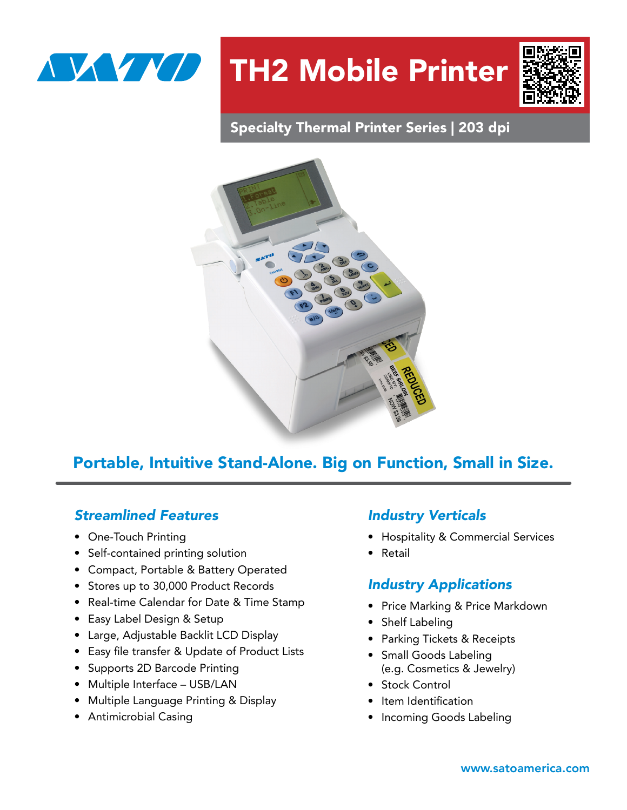

# TH2 Mobile Printer



### Specialty Thermal Printer Series | 203 dpi



### Portable, Intuitive Stand-Alone. Big on Function, Small in Size.

#### *Streamlined Features*

- One-Touch Printing
- Self-contained printing solution
- Compact, Portable & Battery Operated
- Stores up to 30,000 Product Records
- Real-time Calendar for Date & Time Stamp
- Easy Label Design & Setup
- Large, Adjustable Backlit LCD Display
- Easy file transfer & Update of Product Lists
- Supports 2D Barcode Printing
- Multiple Interface USB/LAN
- Multiple Language Printing & Display
- Antimicrobial Casing

#### *Industry Verticals*

- Hospitality & Commercial Services
- Retail

#### *Industry Applications*

- Price Marking & Price Markdown
- Shelf Labeling
- Parking Tickets & Receipts
- Small Goods Labeling (e.g. Cosmetics & Jewelry)
- Stock Control
- Item Identification
- Incoming Goods Labeling